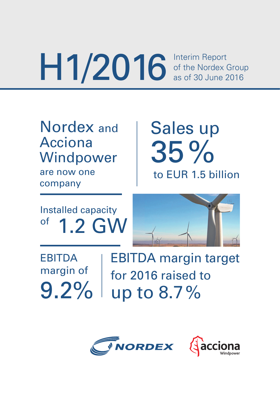Interim Report of the Nordex Group as of 30 June 2016 H1/2016

Nordex and Acciona Windpower are now one company

Sales up 35% to EUR 1.5 billion

Installed capacity  $\sigma$ <sup>of</sup> 1.2 GW

EBITDA margin of 9.2%

EBITDA margin target for 2016 raised to up to 8.7 %

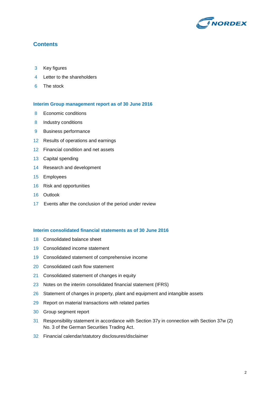

### **Contents**

- Key figures
- Letter to the shareholders
- The stock

#### **Interim Group management report as of 30 June 2016**

- 8 Economic conditions
- 8 Industry conditions
- Business performance
- Results of operations and earnings
- Financial condition and net assets
- Capital spending
- Research and development
- Employees
- Risk and opportunities
- Outlook
- 17 Events after the conclusion of the period under review

#### **Interim consolidated financial statements as of 30 June 2016**

- Consolidated balance sheet
- Consolidated income statement
- Consolidated statement of comprehensive income
- 20 Consolidated cash flow statement
- Consolidated statement of changes in equity
- 23 Notes on the interim consolidated financial statement (IFRS)
- 26 Statement of changes in property, plant and equipment and intangible assets
- Report on material transactions with related parties
- Group segment report
- Responsibility statement in accordance with Section 37y in connection with Section 37w (2) No. 3 of the German Securities Trading Act.
- Financial calendar/statutory disclosures/disclaimer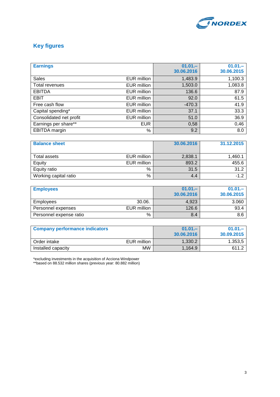

## **Key figures**

| <b>Earnings</b>         |                    | $01.01 -$<br>30.06.2016 | $01.01 -$<br>30.06.2015 |
|-------------------------|--------------------|-------------------------|-------------------------|
| <b>Sales</b>            | <b>EUR million</b> | 1,483.9                 | 1,100.3                 |
| Total revenues          | <b>EUR million</b> | 1,503.0                 | 1,083.8                 |
| <b>EBITDA</b>           | <b>EUR million</b> | 136.6                   | 87.9                    |
| EBIT                    | <b>EUR million</b> | 92.0                    | 61.5                    |
| Free cash flow          | <b>EUR million</b> | $-470.3$                | 41.9                    |
| Capital spending*       | <b>EUR million</b> | 37.1                    | 33.3                    |
| Consolidated net profit | EUR million        | 51.0                    | 36.9                    |
| Earnings per share**    | <b>EUR</b>         | 0,58                    | 0,46                    |
| <b>EBITDA</b> margin    | %                  | 9.2                     | 8.0                     |

| <b>Balance sheet</b>  |             | 30.06.2016 | 31.12.2015 |
|-----------------------|-------------|------------|------------|
|                       |             |            |            |
| Total assets          | EUR million | 2,838.1    | 1,460.1    |
| Equity                | EUR million | 893.2      | 455.6      |
| Equity ratio          | %           | 31.5       | 31.2       |
| Working capital ratio | %           | 4.4        | $-1.2$     |

| <b>Employees</b>        |             | $01.01 -$<br>30.06.2016 | $01.01 -$<br>30.06.2015 |
|-------------------------|-------------|-------------------------|-------------------------|
| <b>Employees</b>        | 30.06.      | 4,923                   | 3.060                   |
| Personnel expenses      | EUR million | 126.6                   | 93.4                    |
| Personnel expense ratio | %           | 8.4                     | 8.6                     |

| <b>Company performance indicators</b> |             | $01.01 -$<br>30.06.2016 | $01.01 -$<br>30.09.2015 |
|---------------------------------------|-------------|-------------------------|-------------------------|
| l Order intake                        | EUR million | 1.330.2                 | 1.353.5                 |
| Installed capacity                    | <b>MW</b>   | 1,164.9                 | 611 2                   |

\*excluding investments in the acquisition of Acciona Windpower \*\*based on 88.532 million shares (previous year: 80.882 million)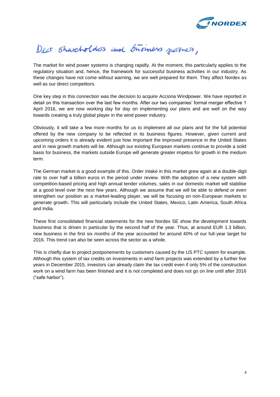

# Decs Shareholders and bromers patres,

The market for wind power systems is changing rapidly. At the moment, this particularly applies to the regulatory situation and, hence, the framework for successful business activities in our industry. As these changes have not come without warning, we are well prepared for them. They affect Nordex as well as our direct competitors.

One key step in this connection was the decision to acquire Acciona Windpower. We have reported in detail on this transaction over the last few months. After our two companies' formal merger effective 1 April 2016, we are now working day for day on implementing our plans and are well on the way towards creating a truly global player in the wind power industry.

Obviously, it will take a few more months for us to implement all our plans and for the full potential offered by the new company to be reflected in its business figures. However, given current and upcoming orders it is already evident just how important the improved presence in the United States and in new growth markets will be. Although our existing European markets continue to provide a solid basis for business, the markets outside Europe will generate greater impetus for growth in the medium term.

The German market is a good example of this. Order intake in this market grew again at a double-digit rate to over half a billion euros in the period under review. With the adoption of a new system with competition-based pricing and high annual tender volumes, sales in our domestic market will stabilise at a good level over the next few years. Although we assume that we will be able to defend or even strengthen our position as a market-leading player, we will be focusing on non-European markets to generate growth. This will particularly include the United States, Mexico, Latin America, South Africa and India.

These first consolidated financial statements for the new Nordex SE show the development towards business that is driven in particular by the second half of the year. Thus, at around EUR 1.3 billion, new business in the first six months of the year accounted for around 40% of our full-year target for 2016. This trend can also be seen across the sector as a whole.

This is chiefly due to project postponements by customers caused by the US PTC system for example. Although this system of tax credits on investments in wind farm projects was extended by a further five years in December 2015, investors can already claim the tax credit even if only 5% of the construction work on a wind farm has been finished and it is not completed and does not go on line until after 2016 ("safe harbor").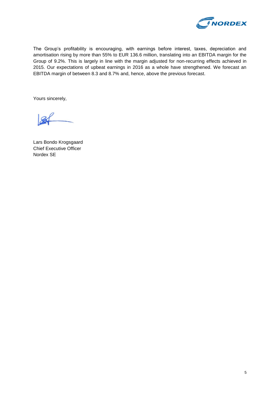

The Group's profitability is encouraging, with earnings before interest, taxes, depreciation and amortisation rising by more than 55% to EUR 136.6 million, translating into an EBITDA margin for the Group of 9.2%. This is largely in line with the margin adjusted for non-recurring effects achieved in 2015. Our expectations of upbeat earnings in 2016 as a whole have strengthened. We forecast an EBITDA margin of between 8.3 and 8.7% and, hence, above the previous forecast.

Yours sincerely,

Lars Bondo Krogsgaard Chief Executive Officer Nordex SE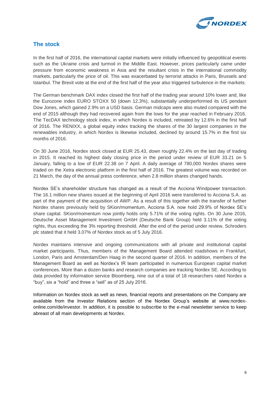

### **The stock**

In the first half of 2016, the international capital markets were initially influenced by geopolitical events such as the Ukraine crisis and turmoil in the Middle East. However, prices particularly came under pressure from economic weakness in Asia and the resultant crisis in the international commodity markets, particularly the price of oil. This was exacerbated by terrorist attacks in Paris, Brussels and Istanbul. The Brexit vote at the end of the first half of the year also triggered turbulence in the markets.

The German benchmark DAX index closed the first half of the trading year around 10% lower and, like the Eurozone index EURO STOXX 50 (down 12.3%), substantially underperformed its US pendant Dow Jones, which gained 2.9% on a USD basis. German midcaps were also muted compared with the end of 2015 although they had recovered again from the lows for the year reached in February 2016. The TecDAX technology stock index, in which Nordex is included, retreated by 12.6% in the first half of 2016. The RENIXX, a global equity index tracking the shares of the 30 largest companies in the renewables industry, in which Nordex is likewise included, declined by around 15.7% in the first six months of 2016.

On 30 June 2016, Nordex stock closed at EUR 25.43, down roughly 22.4% on the last day of trading in 2015. It reached its highest daily closing price in the period under review of EUR 33.21 on 5 January, falling to a low of EUR 22.38 on 7 April. A daily average of 780,000 Nordex shares were traded on the Xetra electronic platform in the first half of 2016. The greatest volume was recorded on 21 March, the day of the annual press conference, when 2.8 million shares changed hands.

Nordex SE's shareholder structure has changed as a result of the Acciona Windpower transaction. The 16.1 million new shares issued at the beginning of April 2016 were transferred to Acciona S.A. as part of the payment of the acquisition of AWP. As a result of this together with the transfer of further Nordex shares previously held by SKion/momentum, Acciona S.A. now hold 29.9% of Nordex SE's share capital. SKion/momentum now jointly holds only 5.71% of the voting rights. On 30 June 2016, Deutsche Asset Management Investment GmbH (Deutsche Bank Group) held 3.11% of the voting rights, thus exceeding the 3% reporting threshold. After the end of the period under review, Schroders plc stated that it held 3.07% of Nordex stock as of 5 July 2016.

Nordex maintains intensive and ongoing communications with all private and institutional capital market participants. Thus, members of the Management Board attended roadshows in Frankfurt, London, Paris and Amsterdam/Den Haag in the second quarter of 2016. In addition, members of the Management Board as well as Nordex's IR team participated in numerous European capital market conferences. More than a dozen banks and research companies are tracking Nordex SE. According to data provided by information service Bloomberg, nine out of a total of 18 researchers rated Nordex a "buy", six a "hold" and three a "sell" as of 25 July 2016.

Information on Nordex stock as well as news, financial reports and presentations on the Company are available from the Investor Relations section of the Nordex Group's website at www.nordexonline.com/de/investor. In addition, it is possible to subscribe to the e-mail newsletter service to keep abreast of all main developments at Nordex.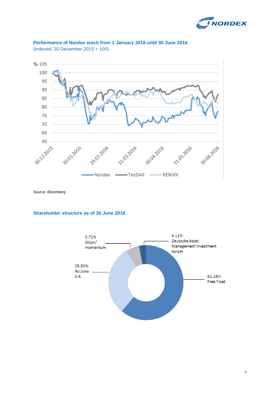





Source: Bloomberg

#### **Shareholder structure as of 30 June 2016**

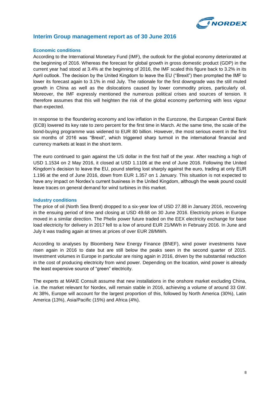

#### **Interim Group management report as of 30 June 2016**

#### **Economic conditions**

According to the International Monetary Fund (IMF), the outlook for the global economy deteriorated at the beginning of 2016. Whereas the forecast for global growth in gross domestic product (GDP) in the current year had stood at 3.4% at the beginning of 2016, the IMF scaled this figure back to 3.2% in its April outlook. The decision by the United Kingdom to leave the EU ("Brexit") then prompted the IMF to lower its forecast again to 3.1% in mid July. The rationale for the first downgrade was the still muted growth in China as well as the dislocations caused by lower commodity prices, particularly oil. Moreover, the IMF expressly mentioned the numerous political crises and sources of tension. It therefore assumes that this will heighten the risk of the global economy performing with less vigour than expected.

In response to the floundering economy and low inflation in the Eurozone, the European Central Bank (ECB) lowered its key rate to zero percent for the first time in March. At the same time, the scale of the bond-buying programme was widened to EUR 80 billion. However, the most serious event in the first six months of 2016 was "Brexit", which triggered sharp turmoil in the international financial and currency markets at least in the short term.

The euro continued to gain against the US dollar in the first half of the year. After reaching a high of USD 1.1534 on 2 May 2016, it closed at USD 1.1106 at the end of June 2016. Following the United Kingdom's decision to leave the EU, pound sterling lost sharply against the euro, trading at only EUR 1.196 at the end of June 2016, down from EUR 1.357 on 1 January. This situation is not expected to have any impact on Nordex's current business in the United Kingdom, although the weak pound could leave traces on general demand for wind turbines in this market.

#### **Industry conditions**

The price of oil (North Sea Brent) dropped to a six-year low of USD 27.88 in January 2016, recovering in the ensuing period of time and closing at USD 49.68 on 30 June 2016. Electricity prices in Europe moved in a similar direction. The Phelix power future traded on the EEX electricity exchange for base load electricity for delivery in 2017 fell to a low of around EUR 21/MWh in February 2016. In June and July it was trading again at times at prices of over EUR 28/MWh.

According to analyses by Bloomberg New Energy Finance (BNEF), wind power investments have risen again in 2016 to date but are still below the peaks seen in the second quarter of 2015. Investment volumes in Europe in particular are rising again in 2016, driven by the substantial reduction in the cost of producing electricity from wind power. Depending on the location, wind power is already the least expensive source of "green" electricity.

The experts at MAKE Consult assume that new installations in the onshore market excluding China, i.e. the market relevant for Nordex, will remain stable in 2016, achieving a volume of around 33 GW. At 38%, Europe will account for the largest proportion of this, followed by North America (30%), Latin America (13%), Asia/Pacific (15%) and Africa (4%).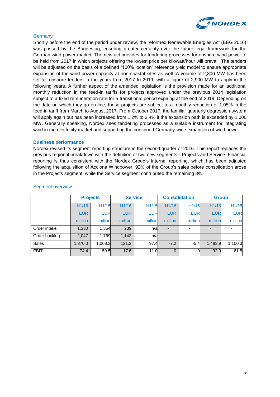

#### **Germany**

Shortly before the end of the period under review, the reformed Renewable Energies Act (EEG 2016) was passed by the Bundestag, ensuring greater certainty over the future legal framework for the German wind power market. The new act provides for tendering processes for onshore wind power to be held from 2017 in which projects offering the lowest price per kilowatt/hour will prevail. The tenders will be adjusted on the basis of a defined "100% location" reference yield model to ensure appropriate expansion of the wind power capacity at non-coastal sites as well. A volume of 2,800 MW has been set for onshore tenders in the years from 2017 to 2019, with a figure of 2,900 MW to apply in the following years. A further aspect of the amended legislation is the provision made for an additional monthly reduction in the feed-in tariffs for projects approved under the previous 2014 legislation subject to a fixed remuneration rate for a transitional period expiring at the end of 2018. Depending on the date on which they go on line, these projects are subject to a monthly reduction of 1.05% in the feed-in tariff from March to August 2017. From October 2017, the familiar quarterly degression system will apply again but has been increased from 1.2% to 2.4% if the expansion path is exceeded by 1,000 MW. Generally speaking, Nordex sees tendering processes as a suitable instrument for integrating wind in the electricity market and supporting the continued Germany-wide expansion of wind power.

#### **Business performance**

Nordex revised its segment reporting structure in the second quarter of 2016. This report replaces the previous regional breakdown with the definition of two new segments - Projects and Service. Financial reporting is thus consistent with the Nordex Group's internal reporting, which has been adjusted following the acquisition of Acciona Windpower. 92% of the Group's sales before consolidation arose in the Projects segment, while the Service segment contributed the remaining 8%.

|               | <b>Projects</b> |            | <b>Service</b>    |            | <b>Consolidation</b>     |            | <b>Group</b> |            |
|---------------|-----------------|------------|-------------------|------------|--------------------------|------------|--------------|------------|
|               | H1/16           | H1/15      | H <sub>1/16</sub> | H1/15      | H1/16                    | H1/15      | H1/16        | H1/15      |
|               | <b>EUR</b>      | <b>EUR</b> | <b>EUR</b>        | <b>EUR</b> | <b>EUR</b>               | <b>EUR</b> | <b>EUR</b>   | <b>EUR</b> |
|               | million         | million    | million           | million    | million                  | million    | million      | million    |
| Order intake  | 1,330           | 1,354      | 239               | n/a        |                          |            |              |            |
| Order backlog | 2.047           | 1,769      | 1,142             | n/a        | $\overline{\phantom{a}}$ |            |              |            |
| <b>Sales</b>  | 1,370.0         | 1.008.3    | 121.2             | 97.4       | $-7.2$                   | $-5.4$     | 1,483.9      | 1,100.3    |
| <b>EBIT</b>   | 74.4            | 50.5       | 17.6              | 11.0       | $\Omega$                 |            | 92.0         | 61.5       |

#### Segment overview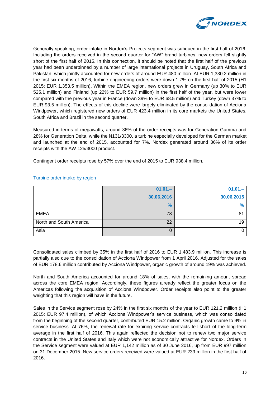

Generally speaking, order intake in Nordex's Projects segment was subdued in the first half of 2016. Including the orders received in the second quarter for "AW" brand turbines, new orders fell slightly short of the first half of 2015. In this connection, it should be noted that the first half of the previous year had been underpinned by a number of large international projects in Uruguay, South Africa and Pakistan, which jointly accounted for new orders of around EUR 480 million. At EUR 1,330.2 million in the first six months of 2016, turbine engineering orders were down 1.7% on the first half of 2015 (H1 2015: EUR 1,353.5 million). Within the EMEA region, new orders grew in Germany (up 30% to EUR 525.1 million) and Finland (up 22% to EUR 59.7 million) in the first half of the year, but were lower compared with the previous year in France (down 39% to EUR 68.5 million) and Turkey (down 37% to EUR 93.5 million). The effects of this decline were largely eliminated by the consolidation of Acciona Windpower, which registered new orders of EUR 423.4 million in its core markets the United States, South Africa and Brazil in the second quarter.

Measured in terms of megawatts, around 36% of the order receipts was for Generation Gamma and 28% for Generation Delta, while the N131/3300, a turbine especially developed for the German market and launched at the end of 2015, accounted for 7%. Nordex generated around 36% of its order receipts with the AW 125/3000 product.

Contingent order receipts rose by 57% over the end of 2015 to EUR 938.4 million.

|                         | $01.01 -$  | $01.01 -$     |
|-------------------------|------------|---------------|
|                         | 30.06.2016 | 30.06.2015    |
|                         | $\%$       | $\frac{9}{6}$ |
| <b>EMEA</b>             | 78         | 81            |
| North and South America | 22         | 19            |
| Asia                    | 0          |               |

#### Turbine order intake by region

Consolidated sales climbed by 35% in the first half of 2016 to EUR 1,483.9 million. This increase is partially also due to the consolidation of Acciona Windpower from 1 April 2016. Adjusted for the sales of EUR 178.6 million contributed by Acciona Windpower, organic growth of around 19% was achieved.

North and South America accounted for around 18% of sales, with the remaining amount spread across the core EMEA region. Accordingly, these figures already reflect the greater focus on the Americas following the acquisition of Acciona Windpower. Order receipts also point to the greater weighting that this region will have in the future.

Sales in the Service segment rose by 24% in the first six months of the year to EUR 121.2 million (H1 2015: EUR 97.4 million), of which Acciona Windpower's service business, which was consolidated from the beginning of the second quarter, contributed EUR 15.2 million. Organic growth came to 9% in service business. At 76%, the renewal rate for expiring service contracts fell short of the long-term average in the first half of 2016. This again reflected the decision not to renew two major service contracts in the United States and Italy which were not economically attractive for Nordex. Orders in the Service segment were valued at EUR 1,142 million as of 30 June 2016, up from EUR 997 million on 31 December 2015. New service orders received were valued at EUR 239 million in the first half of 2016.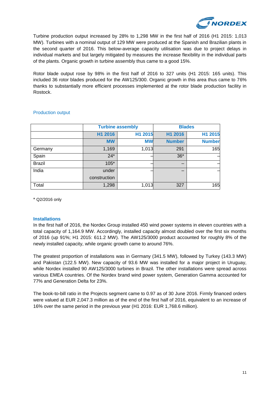

Turbine production output increased by 28% to 1,298 MW in the first half of 2016 (H1 2015: 1,013 MW). Turbines with a nominal output of 129 MW were produced at the Spanish and Brazilian plants in the second quarter of 2016. This below-average capacity utilisation was due to project delays in individual markets and but largely mitigated by measures the increase flexibility in the individual parts of the plants. Organic growth in turbine assembly thus came to a good 15%.

Rotor blade output rose by 98% in the first half of 2016 to 327 units (H1 2015: 165 units). This included 36 rotor blades produced for the AW125/300. Organic growth in this area thus came to 76% thanks to substantially more efficient processes implemented at the rotor blade production facility in Rostock.

|               |              | <b>Turbine assembly</b> | <b>Blades</b> |               |  |
|---------------|--------------|-------------------------|---------------|---------------|--|
|               | H1 2016      | H1 2015                 | H1 2016       | H1 2015       |  |
|               | <b>MW</b>    | <b>MW</b>               | <b>Number</b> | <b>Number</b> |  |
| Germany       | 1,169        | 1,013                   | 291           | 165           |  |
| Spain         | $24*$        |                         | $36*$         |               |  |
| <b>Brazil</b> | $105*$       |                         |               |               |  |
| India         | under        |                         |               |               |  |
|               | construction |                         |               |               |  |
| Total         | 1,298        | 1,013                   | 327           | 165           |  |

#### Production output

\* Q2/2016 only

#### **Installations**

In the first half of 2016, the Nordex Group installed 450 wind power systems in eleven countries with a total capacity of 1,164.9 MW. Accordingly, installed capacity almost doubled over the first six months of 2016 (up 91%; H1 2015: 611.2 MW). The AW125/3000 product accounted for roughly 8% of the newly installed capacity, while organic growth came to around 76%.

The greatest proportion of installations was in Germany (341.5 MW), followed by Turkey (143.3 MW) and Pakistan (122.5 MW). New capacity of 93.6 MW was installed for a major project in Uruguay, while Nordex installed 90 AW125/3000 turbines in Brazil. The other installations were spread across various EMEA countries. Of the Nordex brand wind power system, Generation Gamma accounted for 77% and Generation Delta for 23%.

The book-to-bill ratio in the Projects segment came to 0.97 as of 30 June 2016. Firmly financed orders were valued at EUR 2,047.3 million as of the end of the first half of 2016, equivalent to an increase of 16% over the same period in the previous year (H1 2016: EUR 1,768.6 million).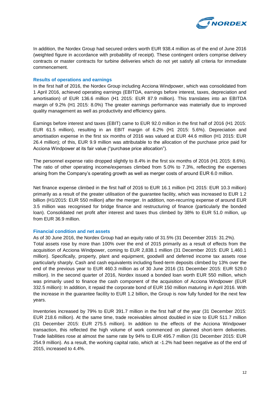

In addition, the Nordex Group had secured orders worth EUR 938.4 million as of the end of June 2016 (weighted figure in accordance with probability of receipt). These contingent orders comprise delivery contracts or master contracts for turbine deliveries which do not yet satisfy all criteria for immediate commencement.

#### **Results of operations and earnings**

In the first half of 2016, the Nordex Group including Acciona Windpower, which was consolidated from 1 April 2016, achieved operating earnings (EBITDA, earnings before interest, taxes, depreciation and amortisation) of EUR 136.6 million (H1 2015: EUR 87.9 million). This translates into an EBITDA margin of 9.2% (H1 2015: 8.0%) The greater earnings performance was materially due to improved quality management as well as productivity and efficiency gains.

Earnings before interest and taxes (EBIT) came to EUR 92.0 million in the first half of 2016 (H1 2015: EUR 61.5 million), resulting in an EBIT margin of 6.2% (H1 2015: 5.6%). Depreciation and amortisation expense in the first six months of 2016 was valued at EUR 44.6 million (H1 2015: EUR 26.4 million); of this, EUR 9.9 million was attributable to the allocation of the purchase price paid for Acciona Windpower at its fair value ("purchase price allocation").

The personnel expense ratio dropped slightly to 8.4% in the first six months of 2016 (H1 2015: 8.6%). The ratio of other operating income/expenses climbed from 5.0% to 7.3%, reflecting the expenses arising from the Company's operating growth as well as merger costs of around EUR 6.0 million.

Net finance expense climbed in the first half of 2016 to EUR 16.1 million (H1 2015: EUR 10.3 million) primarily as a result of the greater utilisation of the guarantee facility, which was increased to EUR 1.2 billion (H1/2015: EUR 550 million) after the merger. In addition, non-recurring expense of around EUR 3.5 million was recognised for bridge finance and restructuring of finance (particularly the bonded loan). Consolidated net profit after interest and taxes thus climbed by 38% to EUR 51.0 million, up from EUR 36.9 million.

#### **Financial condition and net assets**

years.

As of 30 June 2016, the Nordex Group had an equity ratio of 31.5% (31 December 2015: 31.2%). Total assets rose by more than 100% over the end of 2015 primarily as a result of effects from the acquisition of Acciona Windpower, coming to EUR 2,838.1 million (31 December 2015: EUR 1,460.1 million). Specifically, property, plant and equipment, goodwill and deferred income tax assets rose particularly sharply. Cash and cash equivalents including fixed-term deposits climbed by 13% over the end of the previous year to EUR 460.3 million as of 30 June 2016 (31 December 2015: EUR 529.0 million). In the second quarter of 2016, Nordex issued a bonded loan worth EUR 550 million, which was primarily used to finance the cash component of the acquisition of Acciona Windpower (EUR 332.5 million): In addition, it repaid the corporate bond of EUR 150 million maturing in April 2016. With

the increase in the guarantee facility to EUR 1.2 billion, the Group is now fully funded for the next few

Inventories increased by 79% to EUR 391.7 million in the first half of the year (31 December 2015: EUR 218.6 million). At the same time, trade receivables almost doubled in size to EUR 511.7 million (31 December 2015: EUR 275.5 million). In addition to the effects of the Acciona Windpower transaction, this reflected the high volume of work commenced on planned short-term deliveries. Trade liabilities rose at almost the same rate by 94% to EUR 495.7 million (31 December 2015: EUR 254.9 million). As a result, the working capital ratio, which at -1.2% had been negative as of the end of 2015, increased to 4.4%.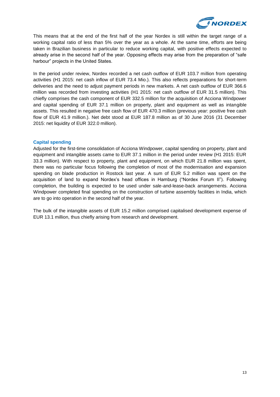

This means that at the end of the first half of the year Nordex is still within the target range of a working capital ratio of less than 5% over the year as a whole. At the same time, efforts are being taken in Brazilian business in particular to reduce working capital, with positive effects expected to already arise in the second half of the year. Opposing effects may arise from the preparation of "safe harbour" projects in the United States.

In the period under review, Nordex recorded a net cash outflow of EUR 103.7 million from operating activities (H1 2015: net cash inflow of EUR 73.4 Mio.). This also reflects preparations for short-term deliveries and the need to adjust payment periods in new markets. A net cash outflow of EUR 366.6 million was recorded from investing activities (H1 2015: net cash outflow of EUR 31.5 million). This chiefly comprises the cash component of EUR 332.5 million for the acquisition of Acciona Windpower and capital spending of EUR 37.1 million on property, plant and equipment as well as intangible assets. This resulted in negative free cash flow of EUR 470.3 million (previous year: positive free cash flow of EUR 41.9 million.). Net debt stood at EUR 187.8 million as of 30 June 2016 (31 December 2015: net liquidity of EUR 322.0 million).

#### **Capital spending**

Adjusted for the first-time consolidation of Acciona Windpower, capital spending on property, plant and equipment and intangible assets came to EUR 37.1 million in the period under review (H1 2015: EUR 33.3 million). With respect to property, plant and equipment, on which EUR 21.8 million was spent, there was no particular focus following the completion of most of the modernisation and expansion spending on blade production in Rostock last year. A sum of EUR 5.2 million was spent on the acquisition of land to expand Nordex's head offices in Hamburg ("Nordex Forum II"). Following completion, the building is expected to be used under sale-and-lease-back arrangements. Acciona Windpower completed final spending on the construction of turbine assembly facilities in India, which are to go into operation in the second half of the year.

The bulk of the intangible assets of EUR 15.2 million comprised capitalised development expense of EUR 13.1 million, thus chiefly arising from research and development.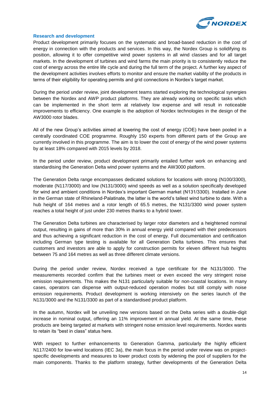

#### **Research and development**

Product development primarily focuses on the systematic and broad-based reduction in the cost of energy in connection with the products and services. In this way, the Nordex Group is solidifying its position, allowing it to offer competitive wind power systems in all wind classes and for all target markets. In the development of turbines and wind farms the main priority is to consistently reduce the cost of energy across the entire life cycle and during the full term of the project. A further key aspect of the development activities involves efforts to monitor and ensure the market viability of the products in terms of their eligibility for operating permits and grid connections in Nordex's target market.

During the period under review, joint development teams started exploring the technological synergies between the Nordex and AWP product platforms. They are already working on specific tasks which can be implemented in the short term at relatively low expense and will result in noticeable improvements to efficiency. One example is the adoption of Nordex technologies in the design of the AW3000 rotor blades.

All of the new Group's activities aimed at lowering the cost of energy (COE) have been pooled in a centrally coordinated COE programme. Roughly 150 experts from different parts of the Group are currently involved in this programme. The aim is to lower the cost of energy of the wind power systems by at least 18% compared with 2015 levels by 2018.

In the period under review, product development primarily entailed further work on enhancing and standardising the Generation Delta wind power systems and the AW3000 platform.

The Generation Delta range encompasses dedicated solutions for locations with strong (N100/3300), moderate (N117/3000) and low (N131/3000) wind speeds as well as a solution specifically developed for wind and ambient conditions in Nordex's important German market (N131/3300). Installed in June in the German state of Rhineland-Palatinate, the latter is the world's tallest wind turbine to date. With a hub height of 164 metres and a rotor length of 65.5 metres, the N131/3300 wind power system reaches a total height of just under 230 metres thanks to a hybrid tower.

The Generation Delta turbines are characterised by larger rotor diameters and a heightened nominal output, resulting in gains of more than 30% in annual energy yield compared with their predecessors and thus achieving a significant reduction in the cost of energy. Full documentation and certification including German type testing is available for all Generation Delta turbines. This ensures that customers and investors are able to apply for construction permits for eleven different hub heights between 75 and 164 metres as well as three different climate versions.

During the period under review, Nordex received a type certificate for the N131/3000. The measurements recorded confirm that the turbines meet or even exceed the very stringent noise emission requirements. This makes the N131 particularly suitable for non-coastal locations. In many cases, operators can dispense with output-reduced operation modes but still comply with noise emission requirements. Product development is working intensively on the series launch of the N131/3000 and the N131/3300 as part of a standardised product platform.

In the autumn, Nordex will be unveiling new versions based on the Delta series with a double-digit increase in nominal output, offering an 11% improvement in annual yield. At the same time, these products are being targeted at markets with stringent noise emission level requirements. Nordex wants to retain its "best in class" status here.

With respect to further enhancements to Generation Gamma, particularly the highly efficient N117/2400 for low-wind locations (IEC 3a), the main focus in the period under review was on projectspecific developments and measures to lower product costs by widening the pool of suppliers for the main components. Thanks to the platform strategy, further developments of the Generation Delta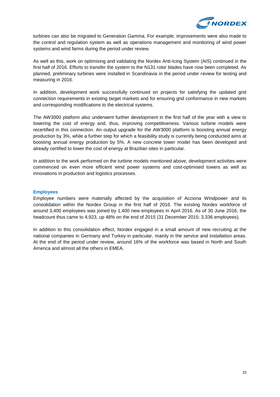

turbines can also be migrated to Generation Gamma. For example, improvements were also made to the control and regulation system as well as operations management and monitoring of wind power systems and wind farms during the period under review.

As well as this, work on optimising and validating the Nordex Anti-Icing System (AIS) continued in the first half of 2016. Efforts to transfer the system to the N131 rotor blades have now been completed. As planned, preliminary turbines were installed in Scandinavia in the period under review for testing and measuring in 2016.

In addition, development work successfully continued on projects for satisfying the updated grid connection requirements in existing target markets and for ensuring grid conformance in new markets and corresponding modifications to the electrical systems.

The AW3000 platform also underwent further development in the first half of the year with a view to lowering the cost of energy and, thus, improving competitiveness. Various turbine models were recertified in this connection. An output upgrade for the AW3000 platform is boosting annual energy production by 3%, while a further step for which a feasibility study is currently being conducted aims at boosting annual energy production by 5%. A new concrete tower model has been developed and already certified to lower the cost of energy at Brazilian sites in particular.

In addition to the work performed on the turbine models mentioned above, development activities were commenced on even more efficient wind power systems and cost-optimised towers as well as innovations in production and logistics processes.

#### **Employees**

Employee numbers were materially affected by the acquisition of Acciona Windpower and its consolidation within the Nordex Group in the first half of 2016. The existing Nordex workforce of around 3,400 employees was joined by 1,400 new employees in April 2016. As of 30 June 2016, the headcount thus came to 4,923, up 48% on the end of 2015 (31 December 2015: 3,336 employees).

In addition to this consolidation effect, Nordex engaged in a small amount of new recruiting at the national companies in Germany and Turkey in particular, mainly in the service and installation areas. At the end of the period under review, around 16% of the workforce was based in North and South America and almost all the others in EMEA.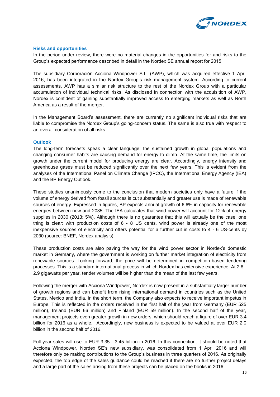

#### **Risks and opportunities**

In the period under review, there were no material changes in the opportunities for and risks to the Group's expected performance described in detail in the Nordex SE annual report for 2015.

The subsidiary Corporación Acciona Windpower S.L. (AWP), which was acquired effective 1 April 2016, has been integrated in the Nordex Group's risk management system. According to current assessments, AWP has a similar risk structure to the rest of the Nordex Group with a particular accumulation of individual technical risks. As disclosed in connection with the acquisition of AWP, Nordex is confident of gaining substantially improved access to emerging markets as well as North America as a result of the merger.

In the Management Board's assessment, there are currently no significant individual risks that are liable to compromise the Nordex Group's going-concern status. The same is also true with respect to an overall consideration of all risks.

#### **Outlook**

The long-term forecasts speak a clear language: the sustained growth in global populations and changing consumer habits are causing demand for energy to climb. At the same time, the limits on growth under the current model for producing energy are clear. Accordingly, energy intensity and greenhouse gases must be reduced significantly over the next few years. This is evident from the analyses of the International Panel on Climate Change (IPCC), the International Energy Agency (IEA) and the BP Energy Outlook.

These studies unanimously come to the conclusion that modern societies only have a future if the volume of energy derived from fossil sources is cut substantially and greater use is made of renewable sources of energy. Expressed in figures, BP expects annual growth of 6.6% in capacity for renewable energies between now and 2035. The IEA calculates that wind power will account for 12% of energy supplies in 2030 (2013: 5%). Although there is no guarantee that this will actually be the case, one thing is clear: with production costs of 6 - 8 US cents, wind power is already one of the most inexpensive sources of electricity and offers potential for a further cut in costs to 4 - 6 US-cents by 2030 (source: BNEF, Nordex analysis).

These production costs are also paving the way for the wind power sector in Nordex's domestic market in Germany, where the government is working on further market integration of electricity from renewable sources. Looking forward, the price will be determined in competition-based tendering processes. This is a standard international process in which Nordex has extensive experience. At 2.8 - 2.9 gigawatts per year, tender volumes will be higher than the mean of the last few years.

Following the merger with Acciona Windpower, Nordex is now present in a substantially larger number of growth regions and can benefit from rising international demand in countries such as the United States, Mexico and India. In the short term, the Company also expects to receive important impetus in Europe. This is reflected in the orders received in the first half of the year from Germany (EUR 525 million), Ireland (EUR 66 million) and Finland (EUR 59 million). In the second half of the year, management projects even greater growth in new orders, which should reach a figure of over EUR 3.4 billion for 2016 as a whole. Accordingly, new business is expected to be valued at over EUR 2.0 billion in the second half of 2016.

Full-year sales will rise to EUR 3.35 - 3.45 billion in 2016. In this connection, it should be noted that Acciona Windpower, Nordex SE's new subsidiary, was consolidated from 1 April 2016 and will therefore only be making contributions to the Group's business in three quarters of 2016. As originally expected, the top edge of the sales guidance could be reached if there are no further project delays and a large part of the sales arising from these projects can be placed on the books in 2016.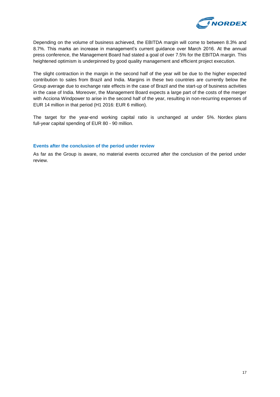

Depending on the volume of business achieved, the EBITDA margin will come to between 8.3% and 8.7%. This marks an increase in management's current guidance over March 2016. At the annual press conference, the Management Board had stated a goal of over 7.5% for the EBITDA margin. This heightened optimism is underpinned by good quality management and efficient project execution.

The slight contraction in the margin in the second half of the year will be due to the higher expected contribution to sales from Brazil and India. Margins in these two countries are currently below the Group average due to exchange rate effects in the case of Brazil and the start-up of business activities in the case of India. Moreover, the Management Board expects a large part of the costs of the merger with Acciona Windpower to arise in the second half of the year, resulting in non-recurring expenses of EUR 14 million in that period (H1 2016: EUR 6 million).

The target for the year-end working capital ratio is unchanged at under 5%. Nordex plans full-year capital spending of EUR 80 - 90 million.

#### **Events after the conclusion of the period under review**

As far as the Group is aware, no material events occurred after the conclusion of the period under review.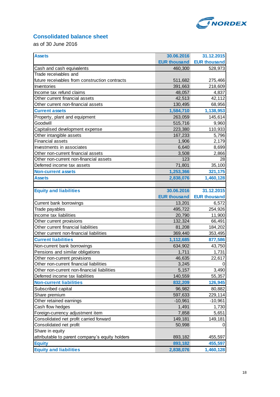

### **Consolidated balance sheet**

as of 30 June 2016

| <b>Assets</b>                                   | 30.06.2016          | 31.12.2015          |
|-------------------------------------------------|---------------------|---------------------|
|                                                 | <b>EUR thousand</b> | <b>EUR thousand</b> |
| Cash and cash equivalents                       | 460,300             | 528,973             |
| Trade receivables and                           |                     |                     |
| future receivables from construction contracts  | 511,682             | 275,466             |
| Inventories                                     | 391,663             | 218,609             |
| Income tax refund claims                        | 48,057              | 4,837               |
| Other current financial assets                  | 42,513              | 42,112              |
| Other current non-financial assets              | 130,495             | 68,956              |
| <b>Current assets</b>                           | 1,584,710           | 1,138,953           |
| Property, plant and equipment                   | 263,059             | 145,614             |
| Goodwill                                        | 515,716             | 9,960               |
| Capitalised development expense                 | 223,380             | 110,933             |
| Other intangible assets                         | 167,233             | 5,796               |
| <b>Financial assets</b>                         | 1,906               | 2,179               |
| Investments in associates                       | 6,640               | 8,699               |
| Other non-current financial assets              | 3,508               | 2,866               |
| Other non-current non-financial assets          | 123                 | 28                  |
| Deferred income tax assets                      | 71,801              | 35,100              |
| <b>Non-current assets</b>                       | 1,253,366           | 321,175             |
| <b>Assets</b>                                   | 2,838,076           | 1,460,128           |
|                                                 |                     |                     |
| <b>Equity and liabilities</b>                   | 30.06.2016          | 31.12.2015          |
|                                                 | <b>EUR thousand</b> | <b>EUR thousand</b> |
| Current bank borrowings                         | 13,201              | 6,572               |
| Trade payables                                  | 495,722             | 254,926             |
| Income tax liabilities                          | 20,790              | 11,900              |
| Other current provisions                        | 132,324             | 66,491              |
| Other current financial liabilities             | 81,208              | 184,202             |
| Other current non-financial liabilities         | 369,440             | 353,495             |
| <b>Current liabilities</b>                      | 1,112,685           | 877,586             |
| Non-current bank borrowings                     | 634,902             | 43,750              |
| Pensions and similar obligations                | 1,711               | 1,731               |
| Other non-current provisions                    | 46,635              | 22,617              |
| Other non-current financial liabilities         | 3,245               | U                   |
| Other non-current non-financial liabilities     | 5,157               | 3,490               |
| Deferred income tax liabilities                 | 140,559             | 55,357              |
| <b>Non-current liabilities</b>                  | 832,209             | 126,945             |
| Subscribed capital                              | 96,982              | 80,882              |
| Share premium                                   | 597,633             | 229,114             |
| Other retained earnings                         | $-10,961$           | $-10,961$           |
| Cash flow hedges                                | 1,491               | 1,730               |
| Foreign-currency adjustment item                | 7,858               | 5,651               |
| Consolidated net profit carried forward         | 149,181             | 149,181             |
| Consolidated net profit                         | 50,998              | 0                   |
| Share in equity                                 |                     |                     |
| attributable to parent company's equity holders | 893,182             | 455,597             |
| <b>Equity</b>                                   | 893,182             | 455,597             |
| <b>Equity and liabilities</b>                   | 2,838,076           | 1,460,128           |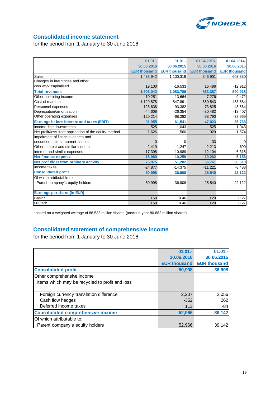

### **Consolidated income statement**

for the period from 1 January to 30 June 2016

|                                                       | $01.01 -$           | $01.01 -$           | 01.04.2015-         | 01.04.2014-         |
|-------------------------------------------------------|---------------------|---------------------|---------------------|---------------------|
|                                                       | 30.06.2016          | 30.06.2015          | 30.06.2016          | 30.06.2015          |
|                                                       | <b>EUR thousand</b> | <b>EUR thousand</b> | <b>EUR thousand</b> | <b>EUR thousand</b> |
| <b>Sales</b>                                          | 1,483,942           | 1,100,319           | 846,901             | 603,830             |
| Changes in inventories and other                      |                     |                     |                     |                     |
| own work capitalised                                  | 19,100              | $-16,533$           | 16,486              | $-12,912$           |
| <b>Total revenues</b>                                 | 1,503,042           | 1,083,786           | 863,387             | 590,918             |
| Other operating income                                | 10.251              | 13,664              | 7.276               | 9,472               |
| Cost of materials                                     | $-1,129,878$        | $-847,891$          | $-650,543$          | $-463,684$          |
| Personnel expenses                                    | $-126.638$          | $-93.382$           | $-73,825$           | $-48,564$           |
| Depreciation/amortisation                             | $-44,608$           | $-26,354$           | $-30,482$           | $-13,407$           |
| Other operating expenses                              | $-120,214$          | $-68,282$           | $-68,790$           | $-37,969$           |
| <b>Earnings before interest and taxes (EBIT)</b>      | 91,955              | 61,541              | 47,023              | 36,766              |
| Income from investments                               | 525                 | 1.043               | 525                 | 1,043               |
| Net profit/loss from application of the equity method | $-1,626$            | $-1,560$            | $-929$              | $-1,574$            |
| Impairment of financial assets and                    |                     |                     |                     |                     |
| securities held as current assets                     | $\Omega$            | 0                   | 33                  | 0                   |
| Other interest and similar income                     | 2,419               | 1.247               | 2.213               | 690                 |
| Interest and similar expenses                         | $-17,398$           | $-10,989$           | $-12,104$           | $-6,315$            |
| <b>Net finance expense</b>                            | $-16,080$           | $-10,259$           | $-10,262$           | $-6,156$            |
| Net profit/loss from ordinary activity                | 75,875              | 51,282              | 36,761              | 30,610              |
| Income taxes                                          | $-24,877$           | $-14,375$           | $-11,221$           | $-8,488$            |
| <b>Consolidated profit</b>                            | 50,998              | 36,908              | 25,540              | 22,122              |
| Of which attributable to:                             |                     |                     |                     |                     |
| Parent company's equity holders                       | 50,998              | 36,908              | 25,540              | 22,122              |
|                                                       |                     |                     |                     |                     |
| Earnings per share (in EUR)                           |                     |                     |                     |                     |
| Basic*                                                | 0.58                | 0.46                | 0.29                | 0.27                |
| Diluted*                                              | 0.58                | 0.46                | 0.29                | 0.27                |

\*based on a weighted average of 88.532 million shares (previous year 80.882 million shares)

### **Consolidated statement of comprehensive income**

for the period from 1 January to 30 June 2016

|                                                | $01.01 -$           | $01.01 -$           |
|------------------------------------------------|---------------------|---------------------|
|                                                | 30.06.2016          | 30.06.2015          |
|                                                | <b>EUR thousand</b> | <b>EUR thousand</b> |
| <b>Consolidated profit</b>                     | 50,998              | 36,908              |
| Other comprehensive income                     |                     |                     |
| Items which may be recycled to profit and loss |                     |                     |
|                                                |                     |                     |
| Foreign currency translation difference        | 2,207               | 2,056               |
| Cash flow hedges                               | $-352$              | 262                 |
| Deferred income taxes                          | 113                 | $-84$               |
| <b>Consolidated comprehensive income</b>       | 52,966              | 39,142              |
| Of which attributable to:                      |                     |                     |
| Parent company's equity holders                | 52.966              | 39.142              |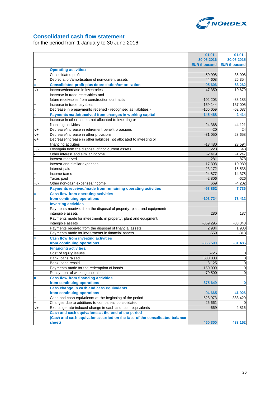

### **Consolidated cash flow statement**

for the period from 1 January to 30 June 2016

|                |                                                                                                               | $01.01 -$           | 01.01.              |
|----------------|---------------------------------------------------------------------------------------------------------------|---------------------|---------------------|
|                |                                                                                                               | 30.06.2016          | 30.06.2015          |
|                |                                                                                                               | <b>EUR thousand</b> | <b>EUR thousand</b> |
|                | <b>Operating activities:</b>                                                                                  |                     |                     |
|                | Consolidated profit                                                                                           | 50,998              | 36,908              |
| $\ddag$        | Depreciation/amortisation of non-current assets                                                               | 44,608              | 26,354              |
|                | <b>Consolidated profit plus depreciation/amortisation</b>                                                     | 95,606              | 63,262              |
| $-/+$          | Increase/decrease in inventories                                                                              | $-47,350$           | 10,679              |
|                | Increase in trade receivables and                                                                             |                     |                     |
|                | future receivables from construction contracts                                                                | $-102,203$          | $-83,183$           |
| $\ddot{}$      | Increase in trade payables                                                                                    | 169,144             | 137,005             |
|                | Decrease in prepayments received - recognised as liabilities -                                                | $-165,059$          | $-62,087$           |
| Ξ              | Payments made/received from changes in working capital                                                        | $-145,468$          | 2,414               |
|                | Increase in other assets not allocated to investing or                                                        |                     |                     |
|                | financing activities                                                                                          | $-24,368$           | $-44,121$           |
| $-/+$          |                                                                                                               | $-20$               | 24                  |
|                | Decrease/increase in retirement benefit provisions                                                            | $-31,050$           |                     |
| $-/+$<br>$-/-$ | Decrease/increase in other provisions<br>Decrease/increase in other liabilities not allocated to investing or |                     | 23,658              |
|                |                                                                                                               |                     |                     |
|                | financing activities                                                                                          | $-13,480$           | 23,594              |
| $+/-$          | Loss/gain from the disposal of non-current assets                                                             | 228                 | -48                 |
|                | Other interest and similar income                                                                             | $-2,419$            | $-1,247$            |
| $\ddot{}$      | Interest received                                                                                             | 281                 | 878                 |
| $\overline{+}$ | Interest and similar expenses                                                                                 | 17,398              | 10,989              |
|                | Interest paid                                                                                                 | $-23,172$           | $-15,538$           |
| $\ddot{}$      | Income taxes                                                                                                  | 24,877              | 14,375              |
|                | Taxes paid                                                                                                    | $-2,806$            | $-626$              |
| $+/-$          | Other non-cash expenses/income                                                                                | 669                 | $-4,202$            |
| Ξ              | Payments received/made from remaining operating activities                                                    | $-53,862$           | 7,736               |
| Ξ              | Cash flow from operating activities                                                                           |                     |                     |
|                | from continuing operations                                                                                    | $-103,724$          | 73,412              |
|                | <b>Investing activities:</b>                                                                                  |                     |                     |
| $\ddot{}$      | Payments received from the disposal of property, plant and equipment/                                         |                     |                     |
|                | intangible assets                                                                                             | 280                 | 187                 |
|                | Payments made for investments in property, plant and equipment/                                               |                     |                     |
|                | intangible assets                                                                                             | $-369,295$          | $-33,340$           |
| $\ddot{}$      | Payments received from the disposal of financial assets                                                       | 2,984               | 1,980               |
|                | Payments made for investments in financial assets                                                             | $-559$              | $-313$              |
|                | <b>Cash flow from investing activities</b>                                                                    |                     |                     |
| Ξ              |                                                                                                               |                     |                     |
|                | from continuing operations                                                                                    | $-366,590$          | $-31,486$           |
|                | <b>Financing activities:</b>                                                                                  |                     |                     |
|                | Cost of equity issues                                                                                         | $-726$              | 0                   |
| $\ddot{}$      | Bank loans raised                                                                                             | 600,000             | $\mathbf 0$         |
|                | Bank loans repaid                                                                                             | $-3,125$            | $\overline{0}$      |
|                | Payments made for the redemption of bonds                                                                     | $-150,000$          | $\pmb{0}$           |
|                | Repayment of working capital loans                                                                            | $-70,500$           | 0                   |
|                | <b>Cash flow from financing activities</b>                                                                    |                     |                     |
|                | from continuing operations                                                                                    | 375,649             | 0                   |
|                | Cash change in cash and cash equivalents                                                                      |                     |                     |
|                | from continuing operations                                                                                    | $-94,665$           | 41,926              |
| $\ddot{}$      | Cash and cash equivalents at the beginning of the period                                                      | 528,973             | 388,420             |
| $\ddot{}$      | Changes due to additions to companies consolidated                                                            | 26,661              |                     |
| $-/+$          | Exchange rate-induced change in cash and cash equivalents                                                     | $-669$              | 2,816               |
| Ξ              | Cash and cash equivalents at the end of the period                                                            |                     |                     |
|                | (Cash and cash equivalents carried on the face of the consolidated balance                                    |                     |                     |
|                | sheet)                                                                                                        | 460,300             | 433,162             |
|                |                                                                                                               |                     |                     |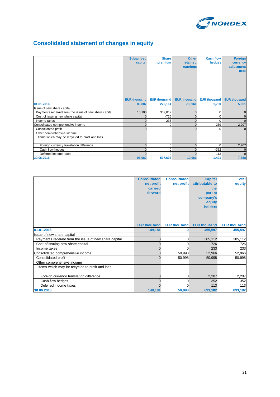

### **Consolidated statement of changes in equity**

|                                                       | <b>Subscribed</b><br>capital | <b>Share</b><br>premium | <b>Other</b><br>retained<br>earnings | <b>Cash flow</b><br>hedges | <b>Foreign</b><br>currency<br>adjustment<br><b>item</b> |
|-------------------------------------------------------|------------------------------|-------------------------|--------------------------------------|----------------------------|---------------------------------------------------------|
|                                                       | <b>EUR thousand</b>          | <b>EUR thousand</b>     | <b>EUR thousand</b>                  | <b>EUR thousand</b>        | <b>EUR thousand</b>                                     |
| 01.01.2016                                            | 80,882                       | 229,114                 | $-10,961$                            | 1,730                      | 5,651                                                   |
| Issue of new share capital                            |                              |                         |                                      |                            |                                                         |
| Payments received from the issue of new share capital | 16,100                       | 369,012                 | $\mathbf{0}$                         | $\mathbf 0$                | $\mathbf{0}$                                            |
| Cost of issuing new share capital                     | 0                            | $-726$                  | $\mathbf{0}$                         | 0                          | $\mathbf{0}$                                            |
| Income taxes                                          | $\Omega$                     | 233                     | $\Omega$                             | $\Omega$                   | $\Omega$                                                |
| Consolidated comprehensive income                     | $\Omega$                     | $\mathbf{0}$            | $\Omega$                             | $-239$                     | 2,207                                                   |
| Consolidated profit                                   | $\Omega$                     | 0                       | $\Omega$                             | 0                          | $\Omega$                                                |
| Other comprehensive income                            |                              |                         |                                      |                            |                                                         |
| Items which may be recycled to profit and loss        |                              |                         |                                      |                            |                                                         |
| Foreign currency translation difference               | $\Omega$                     | $\mathbf{0}$            | $\Omega$                             | $\Omega$                   | 2,207                                                   |
| Cash flow hedges                                      |                              | 0                       | $\Omega$                             | $-352$                     | $\mathbf{0}$                                            |
| Deferred income taxes                                 | $\Omega$                     | $\Omega$                | $\Omega$                             | 113                        | $\Omega$                                                |
| 30.06.2016                                            | 96,982                       | 597,633                 | $-10,961$                            | 1,491                      | 7,858                                                   |

|                                                       | <b>Consolidated</b> | <b>Consolidated</b> | <b>Capital</b>      | <b>Total</b>        |
|-------------------------------------------------------|---------------------|---------------------|---------------------|---------------------|
|                                                       | net profit          | net profit          | attributable to     | equity              |
|                                                       | carried             |                     | the                 |                     |
|                                                       | forward             |                     | parent              |                     |
|                                                       |                     |                     | company's           |                     |
|                                                       |                     |                     | equity              |                     |
|                                                       |                     |                     | holders             |                     |
|                                                       |                     |                     |                     |                     |
|                                                       |                     |                     |                     |                     |
|                                                       | <b>EUR thousand</b> | <b>EUR thousand</b> | <b>EUR thousand</b> | <b>EUR thousand</b> |
|                                                       |                     |                     |                     |                     |
| 01.01.2016                                            | 149,181             | 0                   | 455,597             | 455,597             |
| Issue of new share capital                            |                     |                     |                     |                     |
| Payments received from the issue of new share capital | $\mathbf 0$         | 0                   | 385,112             | 385,112             |
| Cost of issuing new share capital                     | $\overline{0}$      | 0                   | $-726$              | $-726$              |
| Income taxes                                          | $\mathbf{0}$        | 0                   | 233                 | 233                 |
| Consolidated comprehensive income                     | $\mathbf 0$         | 50,998              | 52,966              | 52,966              |
| Consolidated profit                                   | $\overline{0}$      | 50,998              | 50,998              | 50,998              |
| Other comprehensive income                            |                     |                     |                     |                     |
| Items which may be recycled to profit and loss        |                     |                     |                     |                     |
|                                                       |                     |                     |                     |                     |
| Foreign currency translation difference               | $\mathbf 0$         | 0                   | 2,207               | 2,207               |
| Cash flow hedges                                      | $\mathbf 0$         | 0                   | $-352$              | $-352$              |
| Deferred income taxes                                 | $\Omega$            | $\Omega$            | 113                 | 113                 |
| 30.06.2016                                            | 149,181             | 50,998              | 893,182             | 893,182             |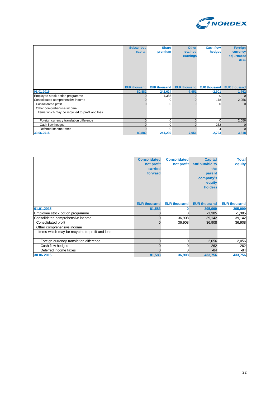

|                                                | <b>Subscribed</b><br>capital | <b>Share</b><br>premium | <b>Other</b><br>retained<br>earnings | <b>Cash flow</b><br>hedges | <b>Foreign</b><br>currency<br>adjustment<br><i>item</i> |
|------------------------------------------------|------------------------------|-------------------------|--------------------------------------|----------------------------|---------------------------------------------------------|
|                                                | <b>EUR thousand</b>          | <b>EUR thousand</b>     | <b>EUR thousand</b>                  | <b>EUR thousand</b>        | <b>EUR thousand</b>                                     |
| 01.01.2015                                     | 80,882                       | 242,624                 | $-7,951$                             | $-2,901$                   | 1,762                                                   |
| Employee stock option programme                | $\Omega$                     | $-1,385$                | ŋ                                    | 0                          | $\mathbf{0}$                                            |
| Consolidated comprehensive income              | 0                            | 0                       | 0                                    | 178                        | 2,056                                                   |
| Consolidated profit                            | $\Omega$                     | 0                       | $\Omega$                             | 0                          | $\Omega$                                                |
| Other comprehensive income                     |                              |                         |                                      |                            |                                                         |
| Items which may be recycled to profit and loss |                              |                         |                                      |                            |                                                         |
| Foreign currency translation difference        | $\Omega$                     | 0                       | 0                                    | $\Omega$                   | 2,056                                                   |
| Cash flow hedges                               | $\Omega$                     | 0                       | n                                    | 262                        | $\mathbf{0}$                                            |
| Deferred income taxes                          | $\Omega$                     | 0                       |                                      | $-84$                      | $\mathbf{0}$                                            |
| 30.06.2015                                     | 80,882                       | 241,239                 | $-7,951$                             | $-2,723$                   | 3,818                                                   |

|                                                | <b>Consolidated</b> | <b>Consolidated</b> | <b>Capital</b>      | <b>Total</b>        |
|------------------------------------------------|---------------------|---------------------|---------------------|---------------------|
|                                                | net profit          | net profit          | attributable to     | equity              |
|                                                | carried             |                     | the                 |                     |
|                                                | forward             |                     | parent              |                     |
|                                                |                     |                     | company's           |                     |
|                                                |                     |                     | equity              |                     |
|                                                |                     |                     | holders             |                     |
|                                                |                     |                     |                     |                     |
|                                                |                     |                     |                     |                     |
|                                                |                     |                     |                     |                     |
|                                                | <b>EUR thousand</b> | <b>EUR thousand</b> | <b>EUR thousand</b> | <b>EUR thousand</b> |
| 01.01.2015                                     | 81,583              | 0                   | 395,999             | 395,999             |
| Employee stock option programme                | $\mathbf 0$         | 0                   | $-1,385$            | $-1,385$            |
| Consolidated comprehensive income              | $\mathbf 0$         | 36,908              | 39,142              | 39,142              |
| Consolidated profit                            | $\overline{0}$      | 36,908              | 36,908              | 36,908              |
| Other comprehensive income                     |                     |                     |                     |                     |
| Items which may be recycled to profit and loss |                     |                     |                     |                     |
|                                                |                     |                     |                     |                     |
| Foreign currency translation difference        | $\mathbf{0}$        | 0                   | 2,056               | 2,056               |
| Cash flow hedges                               | 0                   | 0                   | 262                 | 262                 |
| Deferred income taxes                          | $\Omega$            | $\Omega$            | $-84$               | $-84$               |
| 30.06.2015                                     | 81,583              | 36,908              | 433,756             | 433,756             |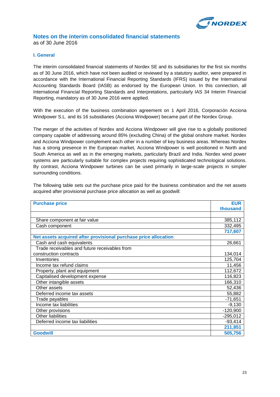

#### **Notes on the interim consolidated financial statements** as of 30 June 2016

#### **I. General**

The interim consolidated financial statements of Nordex SE and its subsidiaries for the first six months as of 30 June 2016, which have not been audited or reviewed by a statutory auditor, were prepared in accordance with the International Financial Reporting Standards (IFRS) issued by the International Accounting Standards Board (IASB) as endorsed by the European Union. In this connection, all International Financial Reporting Standards and Interpretations, particularly IAS 34 Interim Financial Reporting, mandatory as of 30 June 2016 were applied.

With the execution of the business combination agreement on 1 April 2016, Corporación Acciona Windpower S.L. and its 16 subsidiaries (Acciona Windpower) became part of the Nordex Group.

The merger of the activities of Nordex and Acciona Windpower will give rise to a globally positioned company capable of addressing around 85% (excluding China) of the global onshore market. Nordex and Acciona Windpower complement each other in a number of key business areas. Whereas Nordex has a strong presence in the European market, Acciona Windpower is well positioned in North and South America as well as in the emerging markets, particularly Brazil and India. Nordex wind power systems are particularly suitable for complex projects requiring sophisticated technological solutions. By contrast, Acciona Windpower turbines can be used primarily in large-scale projects in simpler surrounding conditions.

The following table sets out the purchase price paid for the business combination and the net assets acquired after provisional purchase price allocation as well as goodwill:

| <b>Purchase price</b>                                           | <b>EUR</b> |
|-----------------------------------------------------------------|------------|
|                                                                 | thousand   |
|                                                                 |            |
| Share component at fair value                                   | 385,112    |
| Cash component                                                  | 332,495    |
|                                                                 | 717,607    |
| Net assets acquired after provisional purchase price allocation |            |
| Cash and cash equivalents                                       | 26,661     |
| Trade receivables and future receivables from                   |            |
| construction contracts                                          | 134,014    |
| Inventories                                                     | 125,704    |
| Income tax refund claims                                        | 11,456     |
| Property, plant and equipment                                   | 112,672    |
| Capitalised development expense                                 | 116,823    |
| Other intangible assets                                         | 166,310    |
| Other assets                                                    | 52,436     |
| Deferred income tax assets                                      | 55,882     |
| Trade payables                                                  | $-71,651$  |
| Income tax liabilities                                          | $-9,130$   |
| Other provisions                                                | $-120,900$ |
| Other liabilities                                               | $-295,012$ |
| Deferred income tax liabilities                                 | $-93,414$  |
|                                                                 | 211,851    |
| <b>Goodwill</b>                                                 | 505,756    |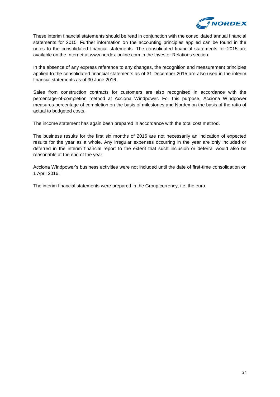

These interim financial statements should be read in conjunction with the consolidated annual financial statements for 2015. Further information on the accounting principles applied can be found in the notes to the consolidated financial statements. The consolidated financial statements for 2015 are available on the Internet at www.nordex-online.com in the Investor Relations section.

In the absence of any express reference to any changes, the recognition and measurement principles applied to the consolidated financial statements as of 31 December 2015 are also used in the interim financial statements as of 30 June 2016.

Sales from construction contracts for customers are also recognised in accordance with the percentage-of-completion method at Acciona Windpower. For this purpose, Acciona Windpower measures percentage of completion on the basis of milestones and Nordex on the basis of the ratio of actual to budgeted costs.

The income statement has again been prepared in accordance with the total cost method.

The business results for the first six months of 2016 are not necessarily an indication of expected results for the year as a whole. Any irregular expenses occurring in the year are only included or deferred in the interim financial report to the extent that such inclusion or deferral would also be reasonable at the end of the year.

Acciona Windpower's business activities were not included until the date of first-time consolidation on 1 April 2016.

The interim financial statements were prepared in the Group currency, i.e. the euro.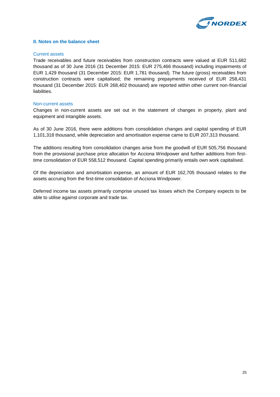

#### **II. Notes on the balance sheet**

#### Current assets

Trade receivables and future receivables from construction contracts were valued at EUR 511,682 thousand as of 30 June 2016 (31 December 2015: EUR 275,466 thousand) including impairments of EUR 1,429 thousand (31 December 2015: EUR 1,781 thousand). The future (gross) receivables from construction contracts were capitalised; the remaining prepayments received of EUR 258,431 thousand (31 December 2015: EUR 268,402 thousand) are reported within other current non-financial liabilities.

#### Non-current assets

Changes in non-current assets are set out in the statement of changes in property, plant and equipment and intangible assets.

As of 30 June 2016, there were additions from consolidation changes and capital spending of EUR 1,101,318 thousand, while depreciation and amortisation expense came to EUR 207,313 thousand.

The additions resulting from consolidation changes arise from the goodwill of EUR 505,756 thousand from the provisional purchase price allocation for Acciona Windpower and further additions from firsttime consolidation of EUR 558,512 thousand. Capital spending primarily entails own work capitalised.

Of the depreciation and amortisation expense, an amount of EUR 162,705 thousand relates to the assets accruing from the first-time consolidation of Acciona Windpower.

Deferred income tax assets primarily comprise unused tax losses which the Company expects to be able to utilise against corporate and trade tax.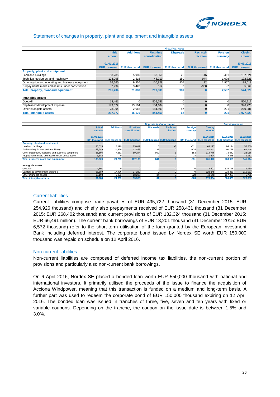

#### Statement of changes in property, plant and equipment and intangible assets

|                                                   |                                              |                                    |                                  | <b>Historical cost</b>           |                                  |                                |                        |
|---------------------------------------------------|----------------------------------------------|------------------------------------|----------------------------------|----------------------------------|----------------------------------|--------------------------------|------------------------|
|                                                   | <b>Initial</b>                               | <b>Additions</b>                   | <b>First-time</b>                | <b>Disposals</b>                 | Reclassi-                        | Foreign                        | <b>Closing</b>         |
|                                                   | amount                                       |                                    | consolidation                    |                                  | fication                         | currency                       | amount                 |
|                                                   |                                              |                                    |                                  |                                  |                                  |                                |                        |
|                                                   | 01.01.2016                                   |                                    |                                  |                                  |                                  |                                | 30.06.2016             |
|                                                   |                                              | <b>EUR thousand EUR thousand</b>   |                                  | <b>EUR thousand EUR thousand</b> | <b>EUR thousand EUR thousand</b> |                                | <b>EUR thousand</b>    |
| <b>Property, plant and equipment</b>              |                                              |                                    |                                  |                                  |                                  |                                |                        |
| Land and buildings                                | 88,785                                       | 5,989                              | 63,050                           | 26                               | $-16$                            | $-461$                         | 157,321                |
| Technical equipment and machinery                 | 123,095                                      | 2,515                              | 45,219                           | 150                              | 944                              | 1,098                          | 172,721                |
| Other equipment, operating and business equipment | 66,560                                       | 9,956                              | 110,928                          | 805                              | 22                               | 1.957                          | 188,618                |
| Prepayments made and assets under construction    | 2,794                                        | 3,420                              | 612                              | $\Omega$                         | $-950$                           | -7                             | 5,869                  |
| Total property, plant and equipment               | 281,234                                      | 21,880                             | 219,809                          | 981                              |                                  | 2,587                          | 524,529                |
|                                                   |                                              |                                    |                                  |                                  |                                  |                                |                        |
| Intangible assets                                 |                                              |                                    |                                  |                                  |                                  |                                |                        |
| Goodwill                                          | 14,461                                       | 0                                  | 505,756                          | 0                                | $\Omega$                         | 0                              | 520,217                |
| Capitalised development expense                   | 179,522                                      | 13,104                             | 154,104                          | 5                                | $\Omega$                         | $\Omega$                       | 346,725                |
| Other intangible assets                           | 23,994                                       | 2,066                              | 184,599                          | 57                               | $\Omega$                         | $-221$                         | 210,381                |
| <b>Total intangible assets</b>                    | 217,977                                      | 15,170                             | 844,459                          | 62                               | n.                               | $-221$                         | 1,077,323              |
|                                                   |                                              |                                    |                                  |                                  |                                  |                                |                        |
|                                                   |                                              |                                    |                                  |                                  |                                  |                                |                        |
|                                                   |                                              |                                    | <b>Depreciation/amortisation</b> |                                  |                                  |                                | <b>Carrying amount</b> |
|                                                   | <b>Additions</b><br><b>Initial</b><br>annsum | <b>First-time</b><br>concolidation | <b>Disposals</b>                 | <b>Reclassi-</b><br>fication     | Foreign<br><b>CUTTODOM</b>       | <b>Closing</b><br>$amm_{numt}$ |                        |

|                                                   |                     |                  |                                                            |                  | <b>Depreciation/amortisation</b> |                     |                     | <b>Carrying amount</b> |                     |
|---------------------------------------------------|---------------------|------------------|------------------------------------------------------------|------------------|----------------------------------|---------------------|---------------------|------------------------|---------------------|
|                                                   | <b>Initial</b>      | <b>Additions</b> | <b>First-time</b>                                          | <b>Disposals</b> | <b>Reclassi-</b>                 | <b>Foreign</b>      | <b>Closing</b>      |                        |                     |
|                                                   | amount              |                  | consolidation                                              |                  | fication                         | currency            | amount              |                        |                     |
|                                                   |                     |                  |                                                            |                  |                                  |                     |                     |                        |                     |
|                                                   | 01.01.2016          |                  |                                                            |                  |                                  |                     | 30.06.2016          | 30.06.2016             | 31.12.2015          |
|                                                   | <b>EUR thousand</b> |                  | <b>EUR thousand EUR thousand EUR thousand EUR thousand</b> |                  |                                  | <b>EUR thousand</b> | <b>EUR thousand</b> | <b>EUR thousand</b>    | <b>EUR thousand</b> |
| <b>Property, plant and equipment</b>              |                     |                  |                                                            |                  |                                  |                     |                     |                        |                     |
| Land and buildings                                | 36,525              | 2,199            | 25,017                                                     | $\Omega$         | $-3$                             | $-611$              | 63.127              | 94,194                 | 52,260              |
| Technical equipment and machinery                 | 58,949              | 10,329           | 12,875                                                     | 35               |                                  | $-175$              | 81,943              | 90,778                 | 64,146              |
| Other equipment, operating and business equipment | 38,504              | 7.681            | 69.244                                                     | 809              |                                  | 153                 | 114,776             | 73.842                 | 28,056              |
| Prepayments made and assets under construction    | 1,642               |                  |                                                            | $\Omega$         |                                  | $-18$               | 1.624               | 4,245                  | 1,152               |
| <b>Total property, plant and equipment</b>        | 135,620             | 20,209           | 107,136                                                    | 844              |                                  | $-651$              | 261,470             | 263,059                | 145,614             |
|                                                   |                     |                  |                                                            |                  |                                  |                     |                     |                        |                     |
| Intangible assets                                 |                     |                  |                                                            |                  |                                  |                     |                     |                        |                     |
| Goodwill                                          | 4,501               |                  |                                                            | $\Omega$         |                                  | n                   | 4,501               | 515,716                | 9,960               |
| Capitalised development expense                   | 68,589              | 17,476           | 37,280                                                     | $\Omega$         |                                  | $\Omega$            | 123,345             | 223,380                | 110,933             |
| Other intangible assets                           | 18.198              | 6,923            | 18.289                                                     | 34               |                                  | $-228$              | 43.148              | 167,233                | 5,796               |
| <b>Total intangible assets</b>                    | 91,288              | 24,399           | 55,569                                                     | 34               |                                  | $-228$              | 170,994             | 906,329                | 126,689             |

#### Current liabilities

Current liabilities comprise trade payables of EUR 495,722 thousand (31 December 2015: EUR 254,926 thousand) and chiefly also prepayments received of EUR 258,431 thousand (31 December 2015: EUR 268,402 thousand) and current provisions of EUR 132,324 thousand (31 December 2015: EUR 66,491 million). The current bank borrowings of EUR 13,201 thousand (31 December 2015: EUR 6,572 thousand) refer to the short-term utilisation of the loan granted by the European Investment Bank including deferred interest. The corporate bond issued by Nordex SE worth EUR 150,000 thousand was repaid on schedule on 12 April 2016.

#### Non-current liabilities

Non-current liabilities are composed of deferred income tax liabilities, the non-current portion of provisions and particularly also non-current bank borrowings.

On 6 April 2016, Nordex SE placed a bonded loan worth EUR 550,000 thousand with national and international investors. It primarily utilised the proceeds of the issue to finance the acquisition of Acciona Windpower, meaning that this transaction is funded on a medium and long-term basis. A further part was used to redeem the corporate bond of EUR 150,000 thousand expiring on 12 April 2016. The bonded loan was issued in tranches of three, five, seven and ten years with fixed or variable coupons. Depending on the tranche, the coupon on the issue date is between 1.5% and 3.0%.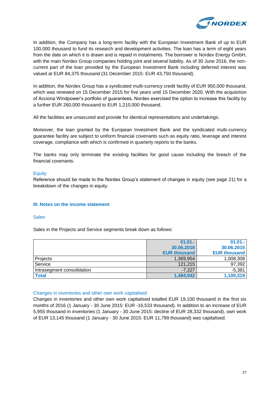

In addition, the Company has a long-term facility with the European Investment Bank of up to EUR 100,000 thousand to fund its research and development activities. The loan has a term of eight years from the date on which it is drawn and is repaid in instalments. The borrower is Nordex Energy GmbH, with the main Nordex Group companies holding joint and several liability. As of 30 June 2016, the noncurrent part of the loan provided by the European Investment Bank including deferred interest was valued at EUR 84,375 thousand (31 December 2015: EUR 43,750 thousand).

In addition, the Nordex Group has a syndicated multi-currency credit facility of EUR 950,000 thousand, which was renewed on 15 December 2015 for five years until 15 December 2020. With the acquisition of Acciona Windpower's portfolio of guarantees, Nordex exercised the option to increase this facility by a further EUR 260,000 thousand to EUR 1,210,000 thousand.

All the facilities are unsecured and provide for identical representations and undertakings.

Moreover, the loan granted by the European Investment Bank and the syndicated multi-currency guarantee facility are subject to uniform financial covenants such as equity ratio, leverage and interest coverage, compliance with which is confirmed in quarterly reports to the banks.

The banks may only terminate the existing facilities for good cause including the breach of the financial covenants.

#### **Equity**

Reference should be made to the Nordex Group's statement of changes in equity (see page 21) for a breakdown of the changes in equity.

#### **III. Notes on the income statement**

#### **Sales**

Sales in the Projects and Service segments break down as follows:

|                            | $01.01 -$           | $01.01 -$           |
|----------------------------|---------------------|---------------------|
|                            | 30.06.2016          | 30.06.2015          |
|                            | <b>EUR thousand</b> | <b>EUR thousand</b> |
| Projects                   | 1,369,954           | 1,008,308           |
| Service                    | 121,215             | 97,392              |
| Intrasegment consolidation | $-7.227$            | $-5,381$            |
| <b>Total</b>               | 1,484,942           | 1,100,319           |

#### Changes in inventories and other own work capitalised

Changes in inventories and other own work capitalised totalled EUR 19,100 thousand in the first six months of 2016 (1 January - 30 June 2015: EUR -16,533 thousand). In addition to an increase of EUR 5,955 thousand in inventories (1 January - 30 June 2015: decline of EUR 28,332 thousand), own work of EUR 13,145 thousand (1 January - 30 June 2015: EUR 11,799 thousand) was capitalised.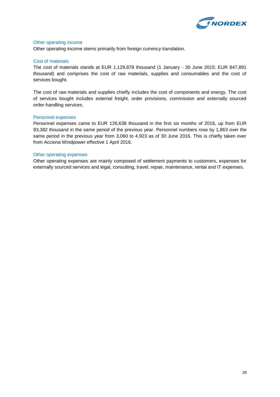

#### Other operating income

Other operating income stems primarily from foreign currency translation.

#### Cost of materials

The cost of materials stands at EUR 1,129,878 thousand (1 January - 30 June 2015: EUR 847,891 thousand) and comprises the cost of raw materials, supplies and consumables and the cost of services bought.

The cost of raw materials and supplies chiefly includes the cost of components and energy. The cost of services bought includes external freight, order provisions, commission and externally sourced order-handling services.

#### Personnel expenses

Personnel expenses came to EUR 126,638 thousand in the first six months of 2016, up from EUR 93,382 thousand in the same period of the previous year. Personnel numbers rose by 1,863 over the same period in the previous year from 3,060 to 4,923 as of 30 June 2016. This is chiefly taken over from Acciona Windpower effective 1 April 2016.

#### Other operating expenses

Other operating expenses are mainly composed of settlement payments to customers, expenses for externally sourced services and legal, consulting, travel, repair, maintenance, rental and IT expenses.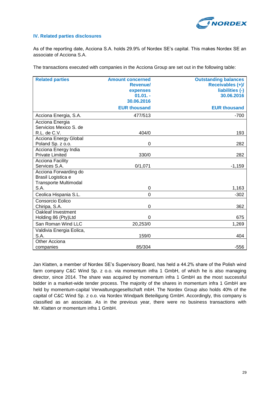

#### **IV. Related parties disclosures**

As of the reporting date, Acciona S.A. holds 29.9% of Nordex SE's capital. This makes Nordex SE an associate of Acciona S.A.

The transactions executed with companies in the Acciona Group are set out in the following table:

| <b>Related parties</b>       | <b>Amount concerned</b> | <b>Outstanding balances</b> |
|------------------------------|-------------------------|-----------------------------|
|                              | <b>Revenuel</b>         | Receivables (+)/            |
|                              | expenses                | liabilities (-)             |
|                              | $01.01. -$              | 30.06.2016                  |
|                              | 30.06.2016              |                             |
|                              | <b>EUR thousand</b>     | <b>EUR thousand</b>         |
| Acciona Energia, S.A.        | 477/513                 | $-700$                      |
| Acciona Energia              |                         |                             |
| Servicios Mexico S. de       |                         |                             |
| R.L. de C.V.                 | 404/0                   | 193                         |
| Acciona Energy Global        |                         |                             |
| Poland Sp. z o.o.            | 0                       | 282                         |
| Acciona Energy India         |                         |                             |
| <b>Private Limited</b>       | 330/0                   | 282                         |
| <b>Acciona Facility</b>      |                         |                             |
| Services S.A.                | 0/1,071                 | $-1,159$                    |
| Acciona Forwarding do        |                         |                             |
| Brasil Logistica e           |                         |                             |
| <b>Transporte Multimodal</b> |                         |                             |
| S.A.                         | 0                       | 1,163                       |
| Ceolica Hispania S.L.        | $\overline{0}$          | $-302$                      |
| Consorcio Eolico             |                         |                             |
| Chiripa, S.A.                | 0                       | 362                         |
| Oakleaf Investment           |                         |                             |
| Holding 86 (Pty)Ltd          | 0                       | 675                         |
| San Roman Wind LLC           | 20,253/0                | 1,269                       |
| Valdivia Energia Eolica,     |                         |                             |
| S.A.                         | 159/0                   | 404                         |
| Other Acciona                |                         |                             |
| companies                    | 85/304                  | $-556$                      |

Jan Klatten, a member of Nordex SE's Supervisory Board, has held a 44.2% share of the Polish wind farm company C&C Wind Sp. z o.o. via momentum infra 1 GmbH, of which he is also managing director, since 2014. The share was acquired by momentum infra 1 GmbH as the most successful bidder in a market-wide tender process. The majority of the shares in momentum infra 1 GmbH are held by momentum-capital Verwaltungsgesellschaft mbH. The Nordex Group also holds 40% of the capital of C&C Wind Sp. z o.o. via Nordex Windpark Beteiligung GmbH. Accordingly, this company is classified as an associate. As in the previous year, there were no business transactions with Mr. Klatten or momentum infra 1 GmbH.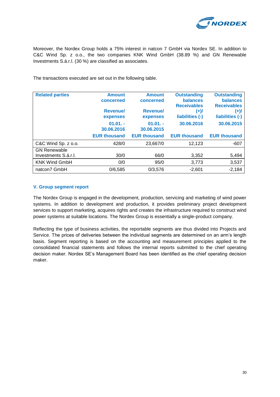

Moreover, the Nordex Group holds a 75% interest in natcon 7 GmbH via Nordex SE. In addition to C&C Wind Sp. z o.o., the two companies KNK Wind GmbH (38.89 %) and GN Renewable Investments S.á.r.l. (30 %) are classified as associates.

The transactions executed are set out in the following table.

| <b>Related parties</b> | <b>Amount</b>       | <b>Amount</b>       | <b>Outstanding</b>  | <b>Outstanding</b>  |
|------------------------|---------------------|---------------------|---------------------|---------------------|
|                        | concerned           | concerned           | <b>balances</b>     | <b>balances</b>     |
|                        |                     |                     | <b>Receivables</b>  | <b>Receivables</b>  |
|                        | <b>Revenuel</b>     | <b>Revenuel</b>     | (+)/                | $(+)$ /             |
|                        | expenses            | expenses            | liabilities (-)     | liabilities (-)     |
|                        | $01.01. -$          | $01.01. -$          | 30.06.2016          | 30.06.2015          |
|                        | 30.06.2016          | 30.06.2015          |                     |                     |
|                        |                     |                     |                     |                     |
|                        | <b>EUR thousand</b> | <b>EUR thousand</b> | <b>EUR thousand</b> | <b>EUR thousand</b> |
| C&C Wind Sp. z o.o.    | 428/0               | 23,667/0            | 12,123              | $-607$              |
| <b>GN Renewable</b>    |                     |                     |                     |                     |
| Investments S.á.r.l.   | 30/0                | 66/0                | 3,352               | 5,494               |
| <b>KNK Wind GmbH</b>   | 0/0                 | 95/0                | 3,773               | 3,537               |

#### **V. Group segment report**

The Nordex Group is engaged in the development, production, servicing and marketing of wind power systems. In addition to development and production, it provides preliminary project development services to support marketing, acquires rights and creates the infrastructure required to construct wind power systems at suitable locations. The Nordex Group is essentially a single-product company.

Reflecting the type of business activities, the reportable segments are thus divided into Projects and Service. The prices of deliveries between the individual segments are determined on an arm's length basis. Segment reporting is based on the accounting and measurement principles applied to the consolidated financial statements and follows the internal reports submitted to the chief operating decision maker. Nordex SE's Management Board has been identified as the chief operating decision maker.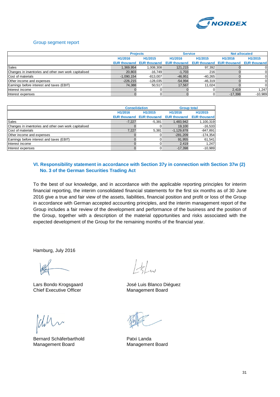

#### Group segment report

|                                                       |                     | <b>Projects</b>     |                      | <b>Service</b>       |                      | <b>Not allocated</b> |
|-------------------------------------------------------|---------------------|---------------------|----------------------|----------------------|----------------------|----------------------|
|                                                       | H1/2016             | H1/2015             | H <sub>1</sub> /2016 | H <sub>1</sub> /2015 | H <sub>1</sub> /2016 | H <sub>1</sub> /2015 |
|                                                       | <b>EUR thousand</b> | <b>EUR thousand</b> | <b>EUR thousand</b>  | <b>EUR thousand</b>  | <b>EUR thousand</b>  | <b>EUR thousand</b>  |
| Sales                                                 | 1.369.954           | 1,008,308           | 121.215              | 97,392               |                      |                      |
| Changes in inventories and other own work capitalised | 20,803              | $-16,749$           | $-1,703$             | 216                  |                      |                      |
| Cost of materials                                     | $-1,090,154$        | $-813.007$          | $-46,951$            | $-40.265$            |                      |                      |
| Other income and expenses                             | $-226,215$          | $-128,035$          | $-54,994$            | $-46.319$            |                      |                      |
| Earnings before interest and taxes (EBIT)             | 74,388              | 50.517              | 17.567               | 11.024               |                      |                      |
| Interest income                                       |                     |                     |                      |                      | 2.419                | 1.247                |
| Interest expenses                                     |                     |                     |                      |                      | $-17,398$            | $-10,989$            |

|                                                       | <b>Consolidation</b> |                     | <b>Group total</b>  |                     |  |
|-------------------------------------------------------|----------------------|---------------------|---------------------|---------------------|--|
|                                                       | H1/2016              | H1/2015             | H1/2016             | H1/2015             |  |
|                                                       | <b>EUR thousand</b>  | <b>EUR thousand</b> | <b>EUR thousand</b> | <b>EUR thousand</b> |  |
| Sales                                                 | $-7.227$             | $-5,381$            | 1,483,942           | 1,100,319           |  |
| Changes in inventories and other own work capitalised |                      |                     | 19.100              | $-16,533$           |  |
| Cost of materials                                     | 7.227                | 5.381               | $-1,129,878$        | $-847,891$          |  |
| Other income and expenses                             |                      |                     | $-281.209$          | $-174,354$          |  |
| Earnings before interest and taxes (EBIT)             |                      |                     | 91.955              | 61,541              |  |
| Interest income                                       |                      |                     | 2.419               | 1,247               |  |
| Interest expenses                                     |                      |                     | $-17.398$           | $-10,989$           |  |

#### **VI. Responsibility statement in accordance with Section 37y in connection with Section 37w (2) No. 3 of the German Securities Trading Act**

To the best of our knowledge, and in accordance with the applicable reporting principles for interim financial reporting, the interim consolidated financial statements for the first six months as of 30 June 2016 give a true and fair view of the assets, liabilities, financial position and profit or loss of the Group in accordance with German accepted accounting principles, and the interim management report of the Group includes a fair review of the development and performance of the business and the position of the Group, together with a description of the material opportunities and risks associated with the expected development of the Group for the remaining months of the financial year.

Hamburg, July 2016

Lars Bondo Krogsgaard **José Luis Blanco Diéguez** Chief Executive Officer Management Board

Bernard Schäferbarthold **Patxi Landa** Management Board Management Board

 $\frac{1}{2}$